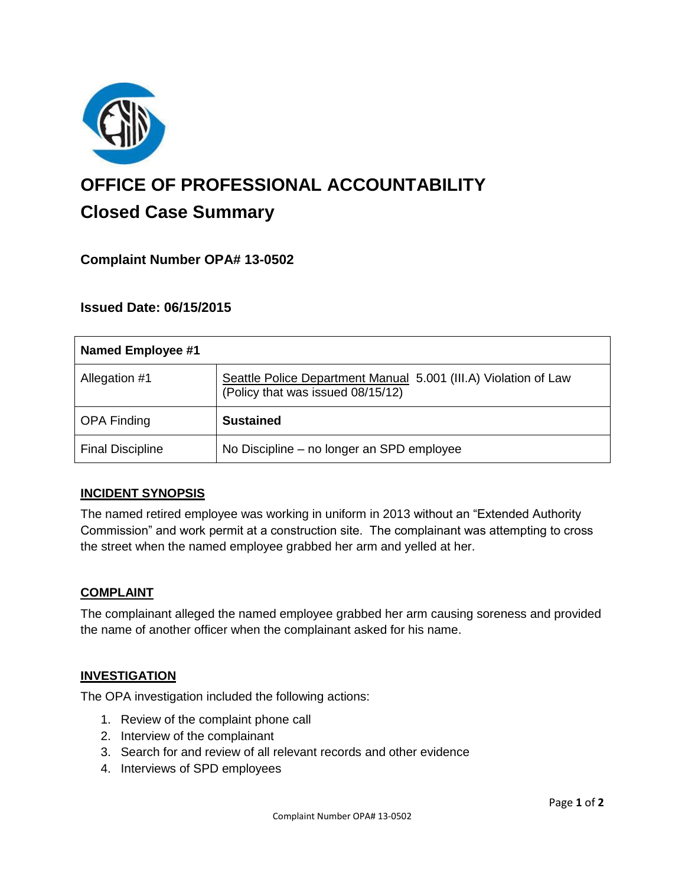

# **OFFICE OF PROFESSIONAL ACCOUNTABILITY Closed Case Summary**

## **Complaint Number OPA# 13-0502**

## **Issued Date: 06/15/2015**

| Named Employee #1       |                                                                                                      |
|-------------------------|------------------------------------------------------------------------------------------------------|
| Allegation #1           | Seattle Police Department Manual 5.001 (III.A) Violation of Law<br>(Policy that was issued 08/15/12) |
| <b>OPA Finding</b>      | <b>Sustained</b>                                                                                     |
| <b>Final Discipline</b> | No Discipline – no longer an SPD employee                                                            |

## **INCIDENT SYNOPSIS**

The named retired employee was working in uniform in 2013 without an "Extended Authority Commission" and work permit at a construction site. The complainant was attempting to cross the street when the named employee grabbed her arm and yelled at her.

#### **COMPLAINT**

The complainant alleged the named employee grabbed her arm causing soreness and provided the name of another officer when the complainant asked for his name.

#### **INVESTIGATION**

The OPA investigation included the following actions:

- 1. Review of the complaint phone call
- 2. Interview of the complainant
- 3. Search for and review of all relevant records and other evidence
- 4. Interviews of SPD employees